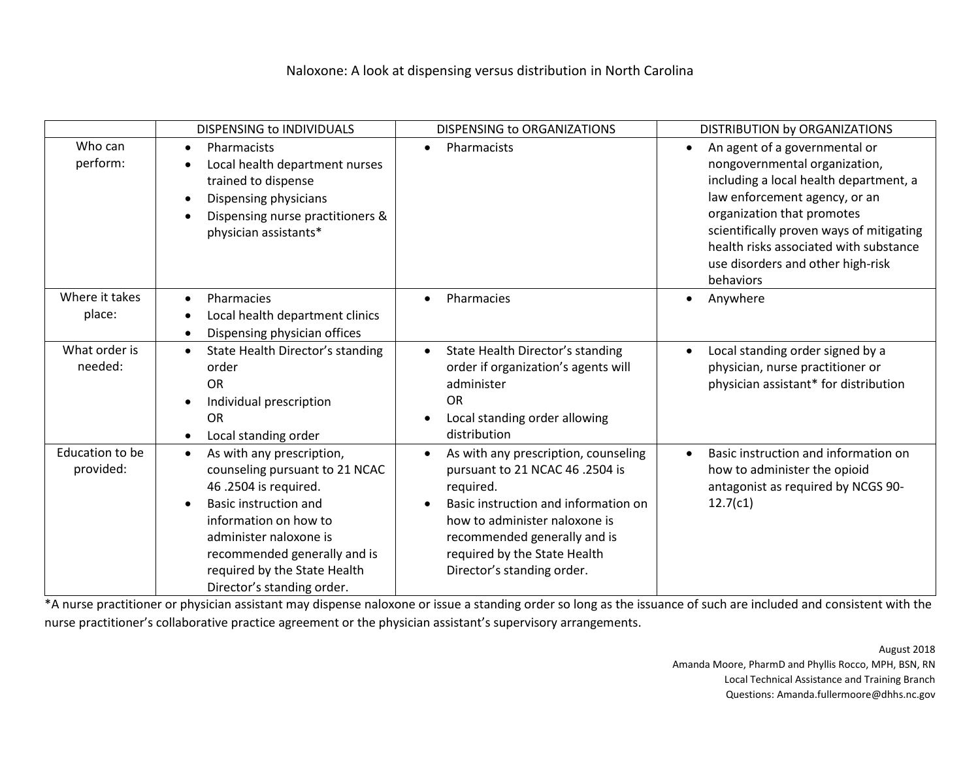|                              | DISPENSING to INDIVIDUALS                                                                                                                                                                                                                                                          | DISPENSING to ORGANIZATIONS                                                                                                                                                                                                                                              | DISTRIBUTION by ORGANIZATIONS                                                                                                                                                                                                                                                                                                |
|------------------------------|------------------------------------------------------------------------------------------------------------------------------------------------------------------------------------------------------------------------------------------------------------------------------------|--------------------------------------------------------------------------------------------------------------------------------------------------------------------------------------------------------------------------------------------------------------------------|------------------------------------------------------------------------------------------------------------------------------------------------------------------------------------------------------------------------------------------------------------------------------------------------------------------------------|
| Who can<br>perform:          | Pharmacists<br>Local health department nurses<br>trained to dispense<br>Dispensing physicians<br>Dispensing nurse practitioners &<br>physician assistants*                                                                                                                         | Pharmacists                                                                                                                                                                                                                                                              | An agent of a governmental or<br>$\bullet$<br>nongovernmental organization,<br>including a local health department, a<br>law enforcement agency, or an<br>organization that promotes<br>scientifically proven ways of mitigating<br>health risks associated with substance<br>use disorders and other high-risk<br>behaviors |
| Where it takes<br>place:     | Pharmacies<br>Local health department clinics<br>Dispensing physician offices<br>$\bullet$                                                                                                                                                                                         | Pharmacies                                                                                                                                                                                                                                                               | Anywhere                                                                                                                                                                                                                                                                                                                     |
| What order is<br>needed:     | State Health Director's standing<br>$\bullet$<br>order<br><b>OR</b><br>Individual prescription<br><b>OR</b><br>Local standing order<br>$\bullet$                                                                                                                                   | State Health Director's standing<br>$\bullet$<br>order if organization's agents will<br>administer<br><b>OR</b><br>Local standing order allowing<br>distribution                                                                                                         | Local standing order signed by a<br>$\bullet$<br>physician, nurse practitioner or<br>physician assistant* for distribution                                                                                                                                                                                                   |
| Education to be<br>provided: | As with any prescription,<br>$\bullet$<br>counseling pursuant to 21 NCAC<br>46 .2504 is required.<br><b>Basic instruction and</b><br>information on how to<br>administer naloxone is<br>recommended generally and is<br>required by the State Health<br>Director's standing order. | As with any prescription, counseling<br>$\bullet$<br>pursuant to 21 NCAC 46 .2504 is<br>required.<br>Basic instruction and information on<br>how to administer naloxone is<br>recommended generally and is<br>required by the State Health<br>Director's standing order. | Basic instruction and information on<br>$\bullet$<br>how to administer the opioid<br>antagonist as required by NCGS 90-<br>12.7(c1)                                                                                                                                                                                          |

\*A nurse practitioner or physician assistant may dispense naloxone or issue a standing order so long as the issuance of such are included and consistent with the nurse practitioner's collaborative practice agreement or the physician assistant's supervisory arrangements.